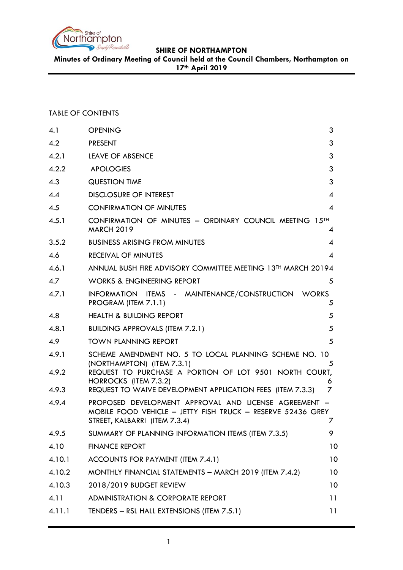

**Minutes of Ordinary Meeting of Council held at the Council Chambers, Northampton on 17th April 2019**

### TABLE OF CONTENTS

| 4.1            | <b>OPENING</b>                                                                                                                                                          | 3              |
|----------------|-------------------------------------------------------------------------------------------------------------------------------------------------------------------------|----------------|
| 4.2            | <b>PRESENT</b>                                                                                                                                                          | 3              |
| 4.2.1          | LEAVE OF ABSENCE                                                                                                                                                        | 3              |
| 4.2.2          | <b>APOLOGIES</b>                                                                                                                                                        | 3              |
| 4.3            | <b>QUESTION TIME</b>                                                                                                                                                    | 3              |
| 4.4            | <b>DISCLOSURE OF INTEREST</b>                                                                                                                                           | 4              |
| 4.5            | <b>CONFIRMATION OF MINUTES</b>                                                                                                                                          | $\overline{4}$ |
| 4.5.1          | CONFIRMATION OF MINUTES - ORDINARY COUNCIL MEETING 15TH<br><b>MARCH 2019</b>                                                                                            | 4              |
| 3.5.2          | <b>BUSINESS ARISING FROM MINUTES</b>                                                                                                                                    | 4              |
| 4.6            | <b>RECEIVAL OF MINUTES</b>                                                                                                                                              | 4              |
| 4.6.1          | ANNUAL BUSH FIRE ADVISORY COMMITTEE MEETING 13 <sup>TH</sup> MARCH 20194                                                                                                |                |
| 4.7            | <b>WORKS &amp; ENGINEERING REPORT</b>                                                                                                                                   | 5              |
| 4.7.1          | INFORMATION ITEMS - MAINTENANCE/CONSTRUCTION WORKS<br>PROGRAM (ITEM 7.1.1)                                                                                              | 5              |
| 4.8            | <b>HEALTH &amp; BUILDING REPORT</b>                                                                                                                                     | 5              |
| 4.8.1          | <b>BUILDING APPROVALS (ITEM 7.2.1)</b>                                                                                                                                  | 5              |
| 4.9            | <b>TOWN PLANNING REPORT</b>                                                                                                                                             | 5              |
| 4.9.1<br>4.9.2 | SCHEME AMENDMENT NO. 5 TO LOCAL PLANNING SCHEME NO. 10<br>(NORTHAMPTON) (ITEM 7.3.1)<br>REQUEST TO PURCHASE A PORTION OF LOT 9501 NORTH COURT,<br>HORROCKS (ITEM 7.3.2) | 5<br>6         |
| 4.9.3          | REQUEST TO WAIVE DEVELOPMENT APPLICATION FEES (ITEM 7.3.3)                                                                                                              | 7              |
| 4.9.4          | PROPOSED DEVELOPMENT APPROVAL AND LICENSE AGREEMENT -<br>MOBILE FOOD VEHICLE - JETTY FISH TRUCK - RESERVE 52436 GREY<br>STREET, KALBARRI (ITEM 7.3.4)                   | 7              |
| 4.9.5          | SUMMARY OF PLANNING INFORMATION ITEMS (ITEM 7.3.5)                                                                                                                      | 9              |
| 4.10           | <b>FINANCE REPORT</b>                                                                                                                                                   | 10             |
| 4.10.1         | ACCOUNTS FOR PAYMENT (ITEM 7.4.1)                                                                                                                                       | 10             |
| 4.10.2         | MONTHLY FINANCIAL STATEMENTS - MARCH 2019 (ITEM 7.4.2)                                                                                                                  | 10             |
| 4.10.3         | 2018/2019 BUDGET REVIEW                                                                                                                                                 | 10             |
| 4.11           | <b>ADMINISTRATION &amp; CORPORATE REPORT</b>                                                                                                                            | 11             |
| 4.11.1         | TENDERS - RSL HALL EXTENSIONS (ITEM 7.5.1)                                                                                                                              | 11             |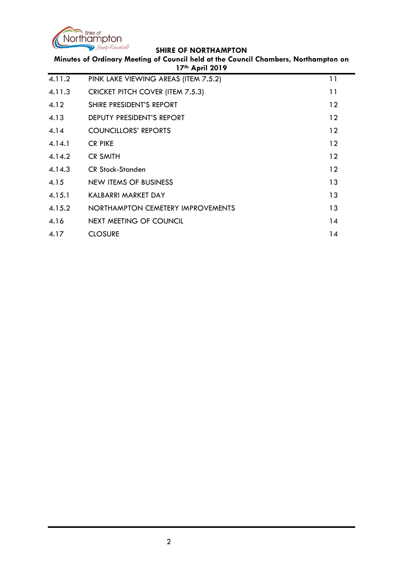

| Minutes of Ordinary Meeting of Council held at the Council Chambers, Northampton on<br>17th April 2019 |                                         |         |
|--------------------------------------------------------------------------------------------------------|-----------------------------------------|---------|
| 4.11.2                                                                                                 | PINK LAKE VIEWING AREAS (ITEM 7.5.2)    | 11      |
| 4.11.3                                                                                                 | <b>CRICKET PITCH COVER (ITEM 7.5.3)</b> | 11      |
| 4.12                                                                                                   | SHIRE PRESIDENT'S REPORT                | 12      |
| 4.13                                                                                                   | DEPUTY PRESIDENT'S REPORT               | 12      |
| 4.14                                                                                                   | <b>COUNCILLORS' REPORTS</b>             | 12      |
| 4.14.1                                                                                                 | <b>CR PIKE</b>                          | 12      |
| 4.14.2                                                                                                 | <b>CR SMITH</b>                         | $12 \,$ |
| 4.14.3                                                                                                 | <b>CR Stock-Standen</b>                 | 12      |
| 4.15                                                                                                   | NEW ITEMS OF BUSINESS                   | 13      |
| 4.15.1                                                                                                 | KALBARRI MARKET DAY                     | 13      |
| 4.15.2                                                                                                 | NORTHAMPTON CEMETERY IMPROVEMENTS       | 13      |
| 4.16                                                                                                   | NEXT MEETING OF COUNCIL                 | 14      |
| 4.17                                                                                                   | <b>CLOSURE</b>                          | 14      |
|                                                                                                        |                                         |         |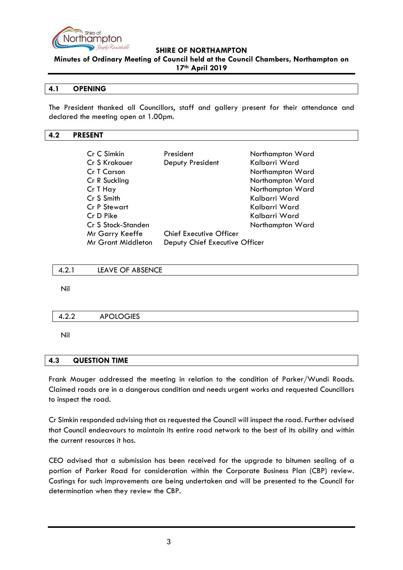

**Minutes of Ordinary Meeting of Council held at the Council Chambers, Northampton on 17th April 2019**

#### <span id="page-2-0"></span>**4.1 OPENING**

The President thanked all Councillors, staff and gallery present for their attendance and declared the meeting open at 1.00pm.

#### <span id="page-2-1"></span>**4.2 PRESENT**

| Cr C Simkin               | President                      | Northampton Ward |
|---------------------------|--------------------------------|------------------|
| Cr S Krakouer             | Deputy President               | Kalbarri Ward    |
| Cr T Carson               |                                | Northampton Ward |
| Cr R Suckling             |                                | Northampton Ward |
| Cr T Hay                  |                                | Northampton Ward |
| Cr S Smith                |                                | Kalbarri Ward    |
| <b>Cr P Stewart</b>       |                                | Kalbarri Ward    |
| Cr D Pike                 |                                | Kalbarri Ward    |
| Cr S Stock-Standen        |                                | Northampton Ward |
| Mr Garry Keeffe           | <b>Chief Executive Officer</b> |                  |
| <b>Mr Grant Middleton</b> | Deputy Chief Executive Officer |                  |

<span id="page-2-2"></span>

| 4.2. | LEAVE OF ABSENCE |  |  |  |
|------|------------------|--|--|--|
|------|------------------|--|--|--|

Nil

<span id="page-2-3"></span>

| л<br>$\overline{\phantom{a}}$ | $\bigcap$ $\bigcap$ $\bigcap$ iee<br>ור<br>◡▫ |  |
|-------------------------------|-----------------------------------------------|--|
|                               |                                               |  |

Nil

#### <span id="page-2-4"></span>**4.3 QUESTION TIME**

Frank Mauger addressed the meeting in relation to the condition of Parker/Wundi Roads. Claimed roads are in a dangerous condition and needs urgent works and requested Councillors to inspect the road.

Cr Simkin responded advising that as requested the Council will inspect the road. Further advised that Council endeavours to maintain its entire road network to the best of its ability and within the current resources it has.

CEO advised that a submission has been received for the upgrade to bitumen sealing of a portion of Parker Road for consideration within the Corporate Business Plan (CBP) review. Costings for such improvements are being undertaken and will be presented to the Council for determination when they review the CBP.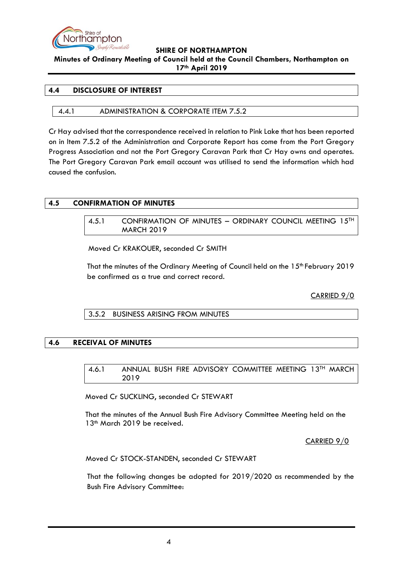

### **Minutes of Ordinary Meeting of Council held at the Council Chambers, Northampton on 17th April 2019**

### <span id="page-3-0"></span>**4.4 DISCLOSURE OF INTEREST**

#### 4.4.1 ADMINISTRATION & CORPORATE ITEM 7.5.2

Cr Hay advised that the correspondence received in relation to Pink Lake that has been reported on in Item 7.5.2 of the Administration and Corporate Report has come from the Port Gregory Progress Association and not the Port Gregory Caravan Park that Cr Hay owns and operates. The Port Gregory Caravan Park email account was utilised to send the information which had caused the confusion.

# <span id="page-3-2"></span><span id="page-3-1"></span>**4.5 CONFIRMATION OF MINUTES**

4.5.1 CONFIRMATION OF MINUTES - ORDINARY COUNCIL MEETING 15<sup>TH</sup> MARCH 2019

Moved Cr KRAKOUER, seconded Cr SMITH

That the minutes of the Ordinary Meeting of Council held on the 15<sup>th</sup> February 2019 be confirmed as a true and correct record.

CARRIED 9/0

3.5.2 BUSINESS ARISING FROM MINUTES

# <span id="page-3-5"></span><span id="page-3-4"></span><span id="page-3-3"></span>**4.6 RECEIVAL OF MINUTES**

4.6.1 ANNUAL BUSH FIRE ADVISORY COMMITTEE MEETING 13TH MARCH 2019

Moved Cr SUCKLING, seconded Cr STEWART

That the minutes of the Annual Bush Fire Advisory Committee Meeting held on the 13<sup>th</sup> March 2019 be received.

CARRIED 9/0

Moved Cr STOCK-STANDEN, seconded Cr STEWART

That the following changes be adopted for 2019/2020 as recommended by the Bush Fire Advisory Committee: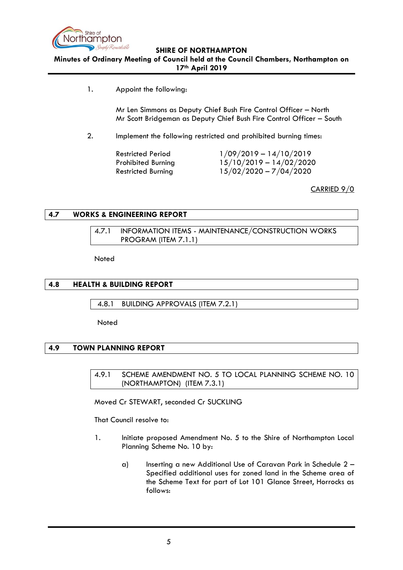

**Minutes of Ordinary Meeting of Council held at the Council Chambers, Northampton on 17th April 2019**

1. Appoint the following:

Mr Len Simmons as Deputy Chief Bush Fire Control Officer – North Mr Scott Bridgeman as Deputy Chief Bush Fire Control Officer – South

2. Implement the following restricted and prohibited burning times:

Restricted Period 1/09/2019 – 14/10/2019 Prohibited Burning 15/10/2019 – 14/02/2020 Restricted Burning 15/02/2020 – 7/04/2020

CARRIED 9/0

### <span id="page-4-1"></span><span id="page-4-0"></span>**4.7 WORKS & ENGINEERING REPORT**

4.7.1 INFORMATION ITEMS - MAINTENANCE/CONSTRUCTION WORKS PROGRAM (ITEM 7.1.1)

Noted

### <span id="page-4-2"></span>**4.8 HEALTH & BUILDING REPORT**

<span id="page-4-3"></span>4.8.1 BUILDING APPROVALS (ITEM 7.2.1)

**Noted** 

# <span id="page-4-5"></span><span id="page-4-4"></span>**4.9 TOWN PLANNING REPORT**

4.9.1 SCHEME AMENDMENT NO. 5 TO LOCAL PLANNING SCHEME NO. 10 (NORTHAMPTON) (ITEM 7.3.1)

Moved Cr STEWART, seconded Cr SUCKLING

That Council resolve to:

- 1. Initiate proposed Amendment No. 5 to the Shire of Northampton Local Planning Scheme No. 10 by:
	- a) Inserting a new Additional Use of Caravan Park in Schedule 2 Specified additional uses for zoned land in the Scheme area of the Scheme Text for part of Lot 101 Glance Street, Horrocks as follows: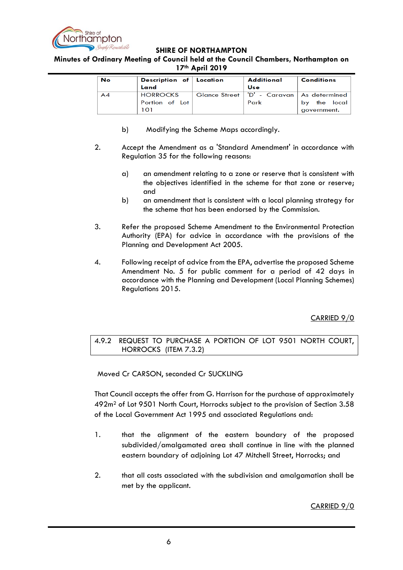

**Minutes of Ordinary Meeting of Council held at the Council Chambers, Northampton on 17th April 2019**

| No | Description of Location | Additional                                    | <b>Conditions</b> |
|----|-------------------------|-----------------------------------------------|-------------------|
|    | Land                    | Use                                           |                   |
| AA | <b>HORROCKS</b>         | Glance Street   'D' - Caravan   As determined |                   |
|    | Portion of Lot          | Park                                          | the local<br>by.  |
|    | 101                     |                                               | government.       |

- b) Modifying the Scheme Maps accordingly.
- 2. Accept the Amendment as a 'Standard Amendment' in accordance with Regulation 35 for the following reasons:
	- a) an amendment relating to a zone or reserve that is consistent with the objectives identified in the scheme for that zone or reserve; and
	- b) an amendment that is consistent with a local planning strategy for the scheme that has been endorsed by the Commission.
- 3. Refer the proposed Scheme Amendment to the Environmental Protection Authority (EPA) for advice in accordance with the provisions of the Planning and Development Act 2005.
- 4. Following receipt of advice from the EPA, advertise the proposed Scheme Amendment No. 5 for public comment for a period of 42 days in accordance with the Planning and Development (Local Planning Schemes) Regulations 2015.

# CARRIED 9/0

<span id="page-5-0"></span>4.9.2 REQUEST TO PURCHASE A PORTION OF LOT 9501 NORTH COURT, HORROCKS (ITEM 7.3.2)

Moved Cr CARSON, seconded Cr SUCKLING

That Council accepts the offer from G. Harrison for the purchase of approximately 492m<sup>2</sup> of Lot 9501 North Court, Horrocks subject to the provision of Section 3.58 of the Local Government Act 1995 and associated Regulations and:

- 1. that the alignment of the eastern boundary of the proposed subdivided/amalgamated area shall continue in line with the planned eastern boundary of adjoining Lot 47 Mitchell Street, Horrocks; and
- 2. that all costs associated with the subdivision and amalgamation shall be met by the applicant.

CARRIED 9/0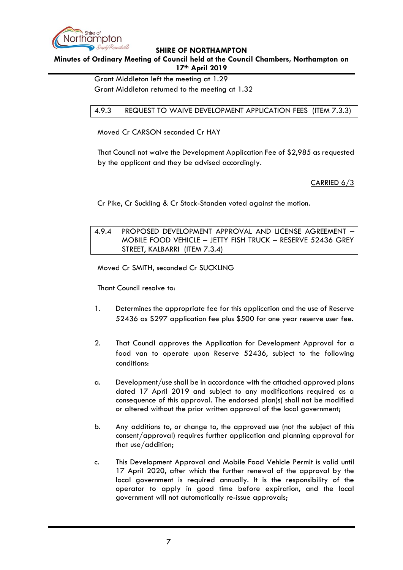

**Minutes of Ordinary Meeting of Council held at the Council Chambers, Northampton on 17th April 2019**

Grant Middleton left the meeting at 1.29

Grant Middleton returned to the meeting at 1.32

# <span id="page-6-0"></span>4.9.3 REQUEST TO WAIVE DEVELOPMENT APPLICATION FEES (ITEM 7.3.3)

Moved Cr CARSON seconded Cr HAY

That Council not waive the Development Application Fee of \$2,985 as requested by the applicant and they be advised accordingly.

CARRIED 6/3

Cr Pike, Cr Suckling & Cr Stock-Standen voted against the motion.

# <span id="page-6-1"></span>4.9.4 PROPOSED DEVELOPMENT APPROVAL AND LICENSE AGREEMENT – MOBILE FOOD VEHICLE – JETTY FISH TRUCK – RESERVE 52436 GREY STREET, KALBARRI (ITEM 7.3.4)

Moved Cr SMITH, seconded Cr SUCKLING

Thant Council resolve to:

- 1. Determines the appropriate fee for this application and the use of Reserve 52436 as \$297 application fee plus \$500 for one year reserve user fee.
- 2. That Council approves the Application for Development Approval for a food van to operate upon Reserve 52436, subject to the following conditions:
- a. Development/use shall be in accordance with the attached approved plans dated 17 April 2019 and subject to any modifications required as a consequence of this approval. The endorsed plan(s) shall not be modified or altered without the prior written approval of the local government;
- b. Any additions to, or change to, the approved use (not the subject of this consent/approval) requires further application and planning approval for that use/addition;
- c. This Development Approval and Mobile Food Vehicle Permit is valid until 17 April 2020, after which the further renewal of the approval by the local government is required annually. It is the responsibility of the operator to apply in good time before expiration, and the local government will not automatically re-issue approvals;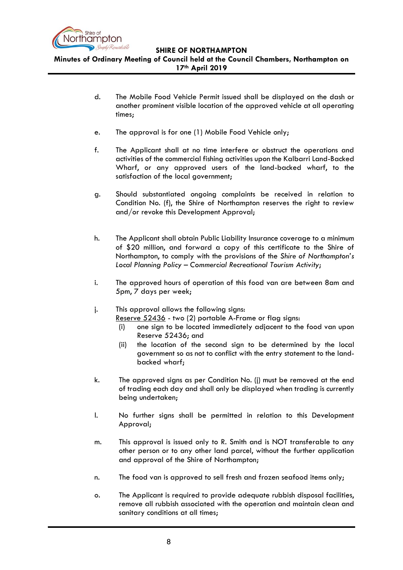

**Minutes of Ordinary Meeting of Council held at the Council Chambers, Northampton on 17th April 2019**

- d. The Mobile Food Vehicle Permit issued shall be displayed on the dash or another prominent visible location of the approved vehicle at all operating times;
- e. The approval is for one (1) Mobile Food Vehicle only;
- f. The Applicant shall at no time interfere or obstruct the operations and activities of the commercial fishing activities upon the Kalbarri Land-Backed Wharf, or any approved users of the land-backed wharf, to the satisfaction of the local government;
- g. Should substantiated ongoing complaints be received in relation to Condition No. (f), the Shire of Northampton reserves the right to review and/or revoke this Development Approval;
- h. The Applicant shall obtain Public Liability Insurance coverage to a minimum of \$20 million, and forward a copy of this certificate to the Shire of Northampton, to comply with the provisions of the *Shire of Northampton's Local Planning Policy – Commercial Recreational Tourism Activity*;
- i. The approved hours of operation of this food van are between 8am and 5pm, 7 days per week;
- j. This approval allows the following signs:

Reserve 52436 - two (2) portable A-Frame or flag signs:

- (i) one sign to be located immediately adjacent to the food van upon Reserve 52436; and
- (ii) the location of the second sign to be determined by the local government so as not to conflict with the entry statement to the landbacked wharf;
- k. The approved signs as per Condition No. (j) must be removed at the end of trading each day and shall only be displayed when trading is currently being undertaken;
- l. No further signs shall be permitted in relation to this Development Approval;
- m. This approval is issued only to R. Smith and is NOT transferable to any other person or to any other land parcel, without the further application and approval of the Shire of Northampton;
- n. The food van is approved to sell fresh and frozen seafood items only;
- o. The Applicant is required to provide adequate rubbish disposal facilities, remove all rubbish associated with the operation and maintain clean and sanitary conditions at all times;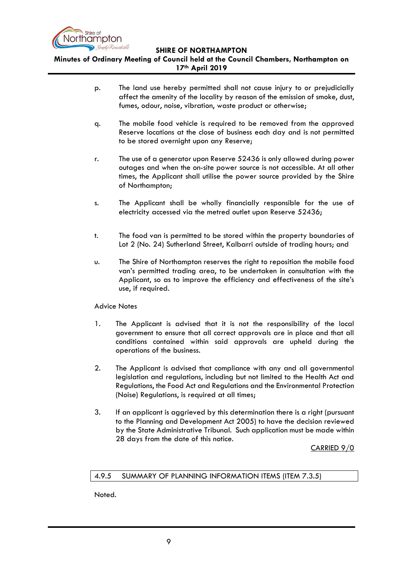

**Minutes of Ordinary Meeting of Council held at the Council Chambers, Northampton on 17th April 2019**

- p. The land use hereby permitted shall not cause injury to or prejudicially affect the amenity of the locality by reason of the emission of smoke, dust, fumes, odour, noise, vibration, waste product or otherwise;
- q. The mobile food vehicle is required to be removed from the approved Reserve locations at the close of business each day and is not permitted to be stored overnight upon any Reserve;
- r. The use of a generator upon Reserve 52436 is only allowed during power outages and when the on-site power source is not accessible. At all other times, the Applicant shall utilise the power source provided by the Shire of Northampton;
- s. The Applicant shall be wholly financially responsible for the use of electricity accessed via the metred outlet upon Reserve 52436;
- t. The food van is permitted to be stored within the property boundaries of Lot 2 (No. 24) Sutherland Street, Kalbarri outside of trading hours; and
- u. The Shire of Northampton reserves the right to reposition the mobile food van's permitted trading area, to be undertaken in consultation with the Applicant, so as to improve the efficiency and effectiveness of the site's use, if required.

# Advice Notes

- 1. The Applicant is advised that it is not the responsibility of the local government to ensure that all correct approvals are in place and that all conditions contained within said approvals are upheld during the operations of the business.
- 2. The Applicant is advised that compliance with any and all governmental legislation and regulations, including but not limited to the Health Act and Regulations, the Food Act and Regulations and the Environmental Protection (Noise) Regulations, is required at all times;
- 3. If an applicant is aggrieved by this determination there is a right (pursuant to the Planning and Development Act 2005) to have the decision reviewed by the State Administrative Tribunal. Such application must be made within 28 days from the date of this notice.

CARRIED 9/0

#### <span id="page-8-0"></span>4.9.5 SUMMARY OF PLANNING INFORMATION ITEMS (ITEM 7.3.5)

Noted.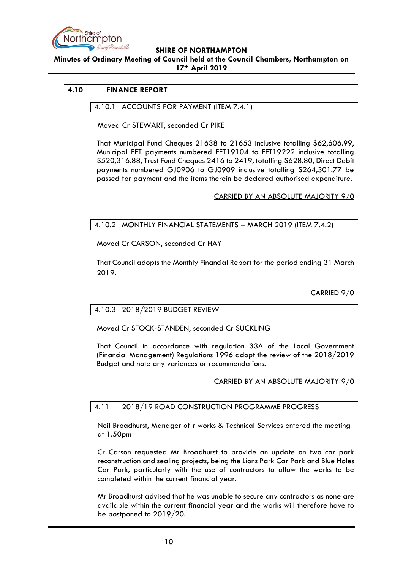

**Minutes of Ordinary Meeting of Council held at the Council Chambers, Northampton on 17th April 2019**

#### <span id="page-9-1"></span><span id="page-9-0"></span>**4.10 FINANCE REPORT**

#### 4.10.1 ACCOUNTS FOR PAYMENT (ITEM 7.4.1)

Moved Cr STEWART, seconded Cr PIKE

That Municipal Fund Cheques 21638 to 21653 inclusive totalling \$62,606.99, Municipal EFT payments numbered EFT19104 to EFT19222 inclusive totalling \$520,316.88, Trust Fund Cheques 2416 to 2419, totalling \$628.80, Direct Debit payments numbered GJ0906 to GJ0909 inclusive totalling \$264,301.77 be passed for payment and the items therein be declared authorised expenditure.

CARRIED BY AN ABSOLUTE MAJORITY 9/0

### <span id="page-9-2"></span>4.10.2 MONTHLY FINANCIAL STATEMENTS – MARCH 2019 (ITEM 7.4.2)

Moved Cr CARSON, seconded Cr HAY

That Council adopts the Monthly Financial Report for the period ending 31 March 2019.

CARRIED 9/0

#### <span id="page-9-3"></span>4.10.3 2018/2019 BUDGET REVIEW

Moved Cr STOCK-STANDEN, seconded Cr SUCKLING

That Council in accordance with regulation 33A of the Local Government (Financial Management) Regulations 1996 adopt the review of the 2018/2019 Budget and note any variances or recommendations.

CARRIED BY AN ABSOLUTE MAJORITY 9/0

#### 4.11 2018/19 ROAD CONSTRUCTION PROGRAMME PROGRESS

Neil Broadhurst, Manager of r works & Technical Services entered the meeting at 1.50pm

Cr Carson requested Mr Broadhurst to provide an update on two car park reconstruction and sealing projects, being the Lions Park Car Park and Blue Holes Car Park, particularly with the use of contractors to allow the works to be completed within the current financial year.

Mr Broadhurst advised that he was unable to secure any contractors as none are available within the current financial year and the works will therefore have to be postponed to 2019/20.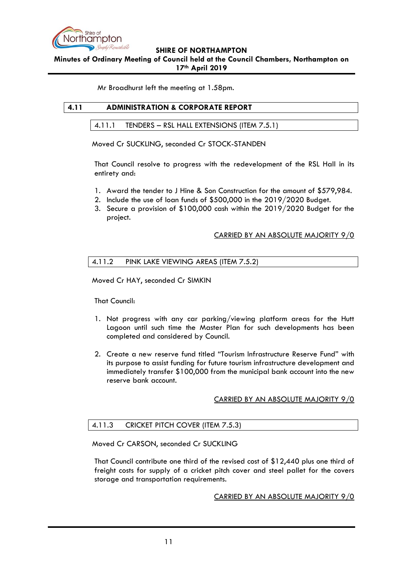

**Minutes of Ordinary Meeting of Council held at the Council Chambers, Northampton on 17th April 2019**

Mr Broadhurst left the meeting at 1.58pm.

### <span id="page-10-1"></span><span id="page-10-0"></span>**4.11 ADMINISTRATION & CORPORATE REPORT**

4.11.1 TENDERS – RSL HALL EXTENSIONS (ITEM 7.5.1)

Moved Cr SUCKLING, seconded Cr STOCK-STANDEN

That Council resolve to progress with the redevelopment of the RSL Hall in its entirety and:

- 1. Award the tender to J Hine & Son Construction for the amount of \$579,984.
- 2. Include the use of loan funds of \$500,000 in the 2019/2020 Budget.
- 3. Secure a provision of \$100,000 cash within the 2019/2020 Budget for the project.

### CARRIED BY AN ABSOLUTE MAJORITY 9/0

### <span id="page-10-2"></span>4.11.2 PINK LAKE VIEWING AREAS (ITEM 7.5.2)

Moved Cr HAY, seconded Cr SIMKIN

That Council:

- 1. Not progress with any car parking/viewing platform areas for the Hutt Lagoon until such time the Master Plan for such developments has been completed and considered by Council.
- 2. Create a new reserve fund titled "Tourism Infrastructure Reserve Fund" with its purpose to assist funding for future tourism infrastructure development and immediately transfer \$100,000 from the municipal bank account into the new reserve bank account.

# CARRIED BY AN ABSOLUTE MAJORITY 9/0

# <span id="page-10-3"></span>4.11.3 CRICKET PITCH COVER (ITEM 7.5.3)

Moved Cr CARSON, seconded Cr SUCKLING

That Council contribute one third of the revised cost of \$12,440 plus one third of freight costs for supply of a cricket pitch cover and steel pallet for the covers storage and transportation requirements.

CARRIED BY AN ABSOLUTE MAJORITY 9/0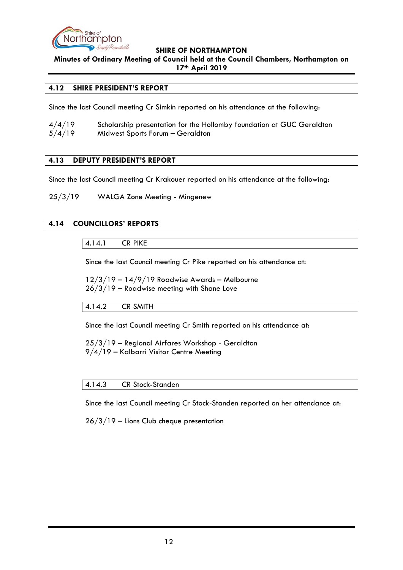

**Minutes of Ordinary Meeting of Council held at the Council Chambers, Northampton on 17th April 2019**

### <span id="page-11-0"></span>**4.12 SHIRE PRESIDENT'S REPORT**

Since the last Council meeting Cr Simkin reported on his attendance at the following:

| 4/4/19 | Scholarship presentation for the Hollomby foundation at GUC Geraldton |
|--------|-----------------------------------------------------------------------|
| 5/4/19 | Midwest Sports Forum - Geraldton                                      |

# <span id="page-11-1"></span>**4.13 DEPUTY PRESIDENT'S REPORT**

Since the last Council meeting Cr Krakouer reported on his attendance at the following:

25/3/19 WALGA Zone Meeting - Mingenew

# <span id="page-11-3"></span><span id="page-11-2"></span>**4.14 COUNCILLORS' REPORTS**

4.14.1 CR PIKE

Since the last Council meeting Cr Pike reported on his attendance at:

12/3/19 – 14/9/19 Roadwise Awards – Melbourne 26/3/19 – Roadwise meeting with Shane Love

<span id="page-11-4"></span>4.14.2 CR SMITH

Since the last Council meeting Cr Smith reported on his attendance at:

25/3/19 – Regional Airfares Workshop - Geraldton 9/4/19 – Kalbarri Visitor Centre Meeting

#### <span id="page-11-5"></span>4.14.3 CR Stock-Standen

Since the last Council meeting Cr Stock-Standen reported on her attendance at:

26/3/19 – Lions Club cheque presentation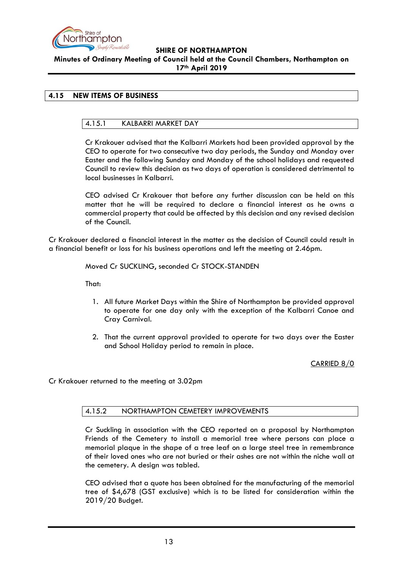

# **SHIRE OF NORTHAMPTON Minutes of Ordinary Meeting of Council held at the Council Chambers, Northampton on 17th April 2019**

# <span id="page-12-1"></span><span id="page-12-0"></span>**4.15 NEW ITEMS OF BUSINESS**

# 4.15.1 KALBARRI MARKET DAY

Cr Krakouer advised that the Kalbarri Markets had been provided approval by the CEO to operate for two consecutive two day periods, the Sunday and Monday over Easter and the following Sunday and Monday of the school holidays and requested Council to review this decision as two days of operation is considered detrimental to local businesses in Kalbarri.

CEO advised Cr Krakouer that before any further discussion can be held on this matter that he will be required to declare a financial interest as he owns a commercial property that could be affected by this decision and any revised decision of the Council.

Cr Krakouer declared a financial interest in the matter as the decision of Council could result in a financial benefit or loss for his business operations and left the meeting at 2.46pm.

Moved Cr SUCKLING, seconded Cr STOCK-STANDEN

That:

- 1. All future Market Days within the Shire of Northampton be provided approval to operate for one day only with the exception of the Kalbarri Canoe and Cray Carnival.
- 2. That the current approval provided to operate for two days over the Easter and School Holiday period to remain in place.

CARRIED 8/0

<span id="page-12-2"></span>Cr Krakouer returned to the meeting at 3.02pm

#### 4.15.2 NORTHAMPTON CEMETERY IMPROVEMENTS

Cr Suckling in association with the CEO reported on a proposal by Northampton Friends of the Cemetery to install a memorial tree where persons can place a memorial plaque in the shape of a tree leaf on a large steel tree in remembrance of their loved ones who are not buried or their ashes are not within the niche wall at the cemetery. A design was tabled.

CEO advised that a quote has been obtained for the manufacturing of the memorial tree of \$4,678 (GST exclusive) which is to be listed for consideration within the 2019/20 Budget.